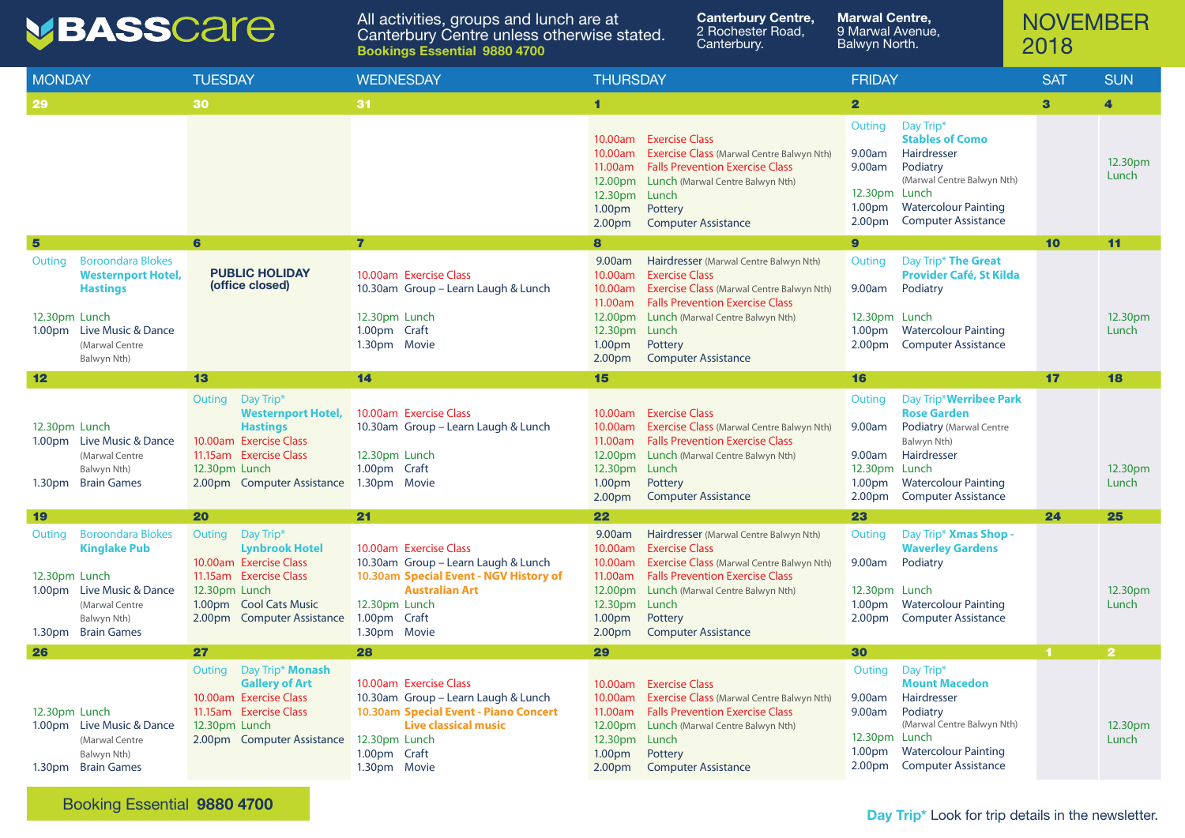## NOVEMBER 2018

## VBASSCare

All activities, groups and lunch are at Canterbury Centre unless otherwise stated. Balwyn North. **Bookings Essential 9880 4700**

| <b>MONDAY</b>                                                                                                                                                                        | <b>TUESDAY</b>                                                                                                                                                            | <b>WEDNESDAY</b>                                                                                                                                                                       | <b>THURSDAY</b>                                                                                                                                                                                                                                                                                                                          | <b>FRIDAY</b>                                                                                                                                                                                                                                                            | <b>SAT</b>   | <b>SUN</b>              |
|--------------------------------------------------------------------------------------------------------------------------------------------------------------------------------------|---------------------------------------------------------------------------------------------------------------------------------------------------------------------------|----------------------------------------------------------------------------------------------------------------------------------------------------------------------------------------|------------------------------------------------------------------------------------------------------------------------------------------------------------------------------------------------------------------------------------------------------------------------------------------------------------------------------------------|--------------------------------------------------------------------------------------------------------------------------------------------------------------------------------------------------------------------------------------------------------------------------|--------------|-------------------------|
| <b>29</b>                                                                                                                                                                            | 30                                                                                                                                                                        | 31                                                                                                                                                                                     | 1                                                                                                                                                                                                                                                                                                                                        | $\overline{\mathbf{2}}$                                                                                                                                                                                                                                                  | $\mathbf{3}$ | 4                       |
|                                                                                                                                                                                      |                                                                                                                                                                           |                                                                                                                                                                                        | <b>Exercise Class</b><br>10.00am<br><b>Exercise Class (Marwal Centre Balwyn Nth)</b><br>10.00am<br><b>Falls Prevention Exercise Class</b><br>11.00am<br>12.00pm<br><b>Lunch</b> (Marwal Centre Balwyn Nth)<br>12.30pm<br>Lunch<br>Pottery<br>1.00pm<br>2.00pm<br><b>Computer Assistance</b>                                              | Day Trip*<br>Outing<br><b>Stables of Como</b><br>Hairdresser<br>9.00am<br>Podiatry<br>9.00am<br>(Marwal Centre Balwyn Nth)<br>12.30pm Lunch<br><b>Watercolour Painting</b><br>1.00 <sub>pm</sub><br><b>Computer Assistance</b><br>2.00 <sub>pm</sub>                     |              | 12.30pm<br>Lunch        |
| $5\phantom{1}$                                                                                                                                                                       | 6                                                                                                                                                                         | $\overline{\mathbf{r}}$                                                                                                                                                                | 8                                                                                                                                                                                                                                                                                                                                        | $\boldsymbol{9}$                                                                                                                                                                                                                                                         | 10           | 11                      |
| <b>Boroondara Blokes</b><br>Outing<br><b>Westernport Hotel,</b><br><b>Hastings</b><br>12.30pm Lunch<br>Live Music & Dance<br>1.00 <sub>pm</sub><br>(Marwal Centre<br>Balwyn Nth)     | <b>PUBLIC HOLIDAY</b><br>(office closed)                                                                                                                                  | 10.00am Exercise Class<br>10.30am Group - Learn Laugh & Lunch<br>12.30pm Lunch<br>1.00pm Craft<br>1.30pm Movie                                                                         | 9.00am<br>Hairdresser (Marwal Centre Balwyn Nth)<br><b>Exercise Class</b><br>10.00am<br><b>Exercise Class</b> (Marwal Centre Balwyn Nth)<br>10.00am<br>11.00am<br><b>Falls Prevention Exercise Class</b><br>12.00pm<br>Lunch (Marwal Centre Balwyn Nth)<br>12.30pm<br>Lunch<br>Pottery<br>1.00pm<br>2.00pm<br><b>Computer Assistance</b> | Day Trip* The Great<br>Outing<br><b>Provider Café, St Kilda</b><br>Podiatry<br>9.00am<br>12.30pm Lunch<br><b>Watercolour Painting</b><br>1.00 <sub>pm</sub><br><b>Computer Assistance</b><br>2.00 <sub>pm</sub>                                                          |              | 12.30pm<br>Lunch        |
| 12                                                                                                                                                                                   | 13                                                                                                                                                                        | 14                                                                                                                                                                                     | 15                                                                                                                                                                                                                                                                                                                                       | 16                                                                                                                                                                                                                                                                       | 17           | 18                      |
| 12.30pm Lunch<br>1.00pm Live Music & Dance<br>(Marwal Centre<br>Balwyn Nth)<br><b>Brain Games</b><br>1.30 <sub>pm</sub>                                                              | Outing Day Trip*<br><b>Westernport Hotel,</b><br><b>Hastings</b><br>10.00am Exercise Class<br>11.15am Exercise Class<br>12.30pm Lunch<br>2.00pm Computer Assistance       | 10.00am Exercise Class<br>10.30am Group - Learn Laugh & Lunch<br>12.30pm Lunch<br>1.00pm Craft<br>1.30pm Movie                                                                         | <b>Exercise Class</b><br>10.00am<br><b>Exercise Class</b> (Marwal Centre Balwyn Nth)<br>10.00am<br><b>Falls Prevention Exercise Class</b><br>11.00am<br>12.00pm<br><b>Lunch</b> (Marwal Centre Balwyn Nth)<br>12.30pm<br>Lunch<br>1.00pm<br>Pottery<br><b>Computer Assistance</b><br>2.00pm                                              | Day Trip* <b>Werribee Park</b><br>Outing<br><b>Rose Garden</b><br>9.00am<br>Podiatry (Marwal Centre<br>Balwyn Nth)<br>Hairdresser<br>9.00am<br>12.30pm<br>Lunch<br><b>Watercolour Painting</b><br>1.00 <sub>pm</sub><br><b>Computer Assistance</b><br>2.00 <sub>pm</sub> |              | 12.30pm<br>Lunch        |
| <b>197</b>                                                                                                                                                                           | 20                                                                                                                                                                        | 21                                                                                                                                                                                     | 22                                                                                                                                                                                                                                                                                                                                       | 23                                                                                                                                                                                                                                                                       | 24           | 25                      |
| <b>Boroondara Blokes</b><br>Outing<br><b>Kinglake Pub</b><br>12.30pm Lunch<br>1.00pm Live Music & Dance<br>(Marwal Centre<br>Balwyn Nth)<br><b>Brain Games</b><br>1.30 <sub>pm</sub> | Outing<br>Day Trip*<br><b>Lynbrook Hotel</b><br>10.00am Exercise Class<br>11.15am Exercise Class<br>12.30pm Lunch<br>1.00pm Cool Cats Music<br>2.00pm Computer Assistance | 10.00am Exercise Class<br>10.30am Group - Learn Laugh & Lunch<br>10.30am Special Event - NGV History of<br><b>Australian Art</b><br>12.30pm Lunch<br>1.00pm Craft<br>1.30pm Movie      | 9.00am<br>Hairdresser (Marwal Centre Balwyn Nth)<br><b>Exercise Class</b><br>10.00am<br>10.00am<br><b>Exercise Class</b> (Marwal Centre Balwyn Nth)<br><b>Falls Prevention Exercise Class</b><br>11.00am<br>12.00pm<br>Lunch (Marwal Centre Balwyn Nth)<br>12.30pm<br>Lunch<br>Pottery<br>1.00pm<br><b>Computer Assistance</b><br>2.00pm | Outing<br>Day Trip* <b>Xmas Shop -</b><br><b>Waverley Gardens</b><br>Podiatry<br>9.00am<br>12.30pm Lunch<br><b>Watercolour Painting</b><br>1.00 <sub>pm</sub><br><b>Computer Assistance</b><br>2.00 <sub>pm</sub>                                                        |              | 12.30pm<br>Lunch        |
| 26                                                                                                                                                                                   | 27                                                                                                                                                                        | 28                                                                                                                                                                                     | 29                                                                                                                                                                                                                                                                                                                                       | 30                                                                                                                                                                                                                                                                       |              | $\overline{\mathbf{2}}$ |
| 12.30pm Lunch<br>1.00pm Live Music & Dance<br>(Marwal Centre<br>Balwyn Nth)<br><b>Brain Games</b><br>1.30 <sub>pm</sub>                                                              | Day Trip* Monash<br>Outing<br><b>Gallery of Art</b><br>10.00am Exercise Class<br>11.15am Exercise Class<br>12.30pm Lunch<br>2.00pm Computer Assistance                    | 10.00am Exercise Class<br>10.30am Group - Learn Laugh & Lunch<br>10.30am Special Event - Piano Concert<br><b>Live classical music</b><br>12.30pm Lunch<br>1.00pm Craft<br>1.30pm Movie | <b>Exercise Class</b><br>10.00am<br><b>Exercise Class (Marwal Centre Balwyn Nth)</b><br>10.00am<br><b>Falls Prevention Exercise Class</b><br>11.00am<br>12.00pm<br>Lunch (Marwal Centre Balwyn Nth)<br>12.30pm<br>Lunch<br>1.00pm<br>Pottery<br><b>Computer Assistance</b><br>2.00pm                                                     | Day Trip*<br>Outing<br><b>Mount Macedon</b><br>Hairdresser<br>9.00am<br>Podiatry<br>9.00am<br>(Marwal Centre Balwyn Nth)<br>12.30pm<br>Lunch<br>1.00 <sub>pm</sub><br><b>Watercolour Painting</b><br><b>Computer Assistance</b><br>2.00 <sub>pm</sub>                    |              | 12.30pm<br>Lunch        |

**Canterbury Centre,**  2 Rochester Road, Canterbury.

**Marwal Centre,**  9 Marwal Avenue,

**Day Trip\*** Look for trip details in the newsletter.

Booking Essential **9880 4700**